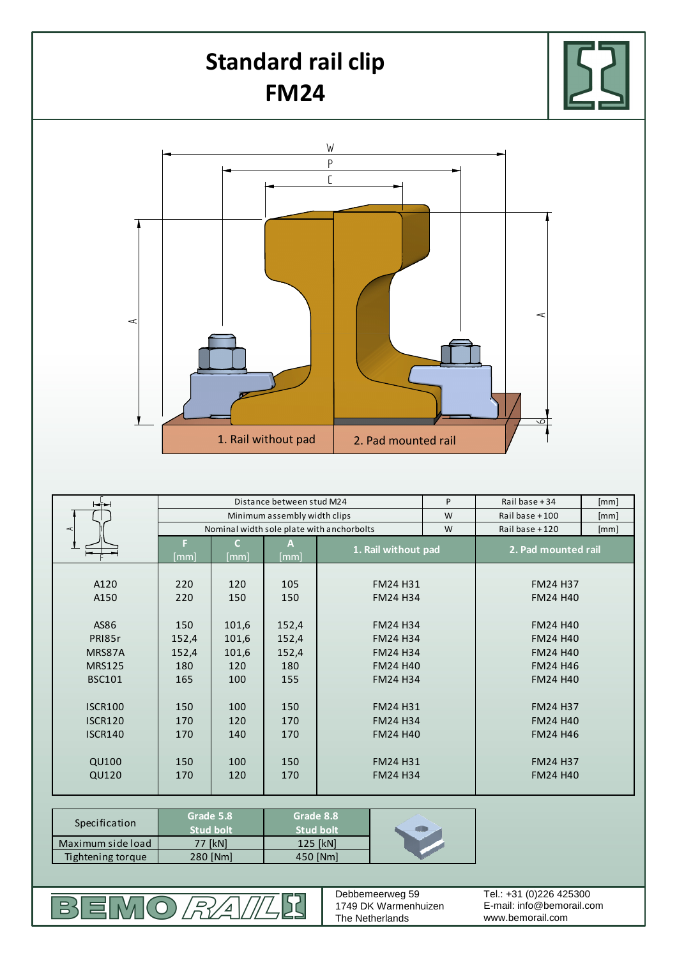